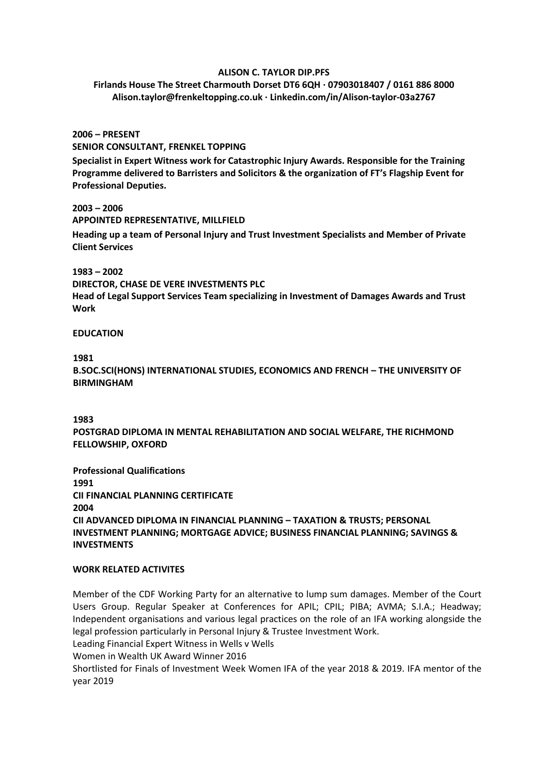### **ALISON C. TAYLOR DIP.PFS**

**Firlands House The Street Charmouth Dorset DT6 6QH · 07903018407 / 0161 886 8000 Alison.taylor@frenkeltopping.co.uk · Linkedin.com/in/Alison-taylor-03a2767**

**2006 – PRESENT SENIOR CONSULTANT, FRENKEL TOPPING**

**Specialist in Expert Witness work for Catastrophic Injury Awards. Responsible for the Training Programme delivered to Barristers and Solicitors & the organization of FT's Flagship Event for Professional Deputies.**

**2003 – 2006 APPOINTED REPRESENTATIVE, MILLFIELD Heading up a team of Personal Injury and Trust Investment Specialists and Member of Private Client Services**

**1983 – 2002 DIRECTOR, CHASE DE VERE INVESTMENTS PLC Head of Legal Support Services Team specializing in Investment of Damages Awards and Trust Work**

### **EDUCATION**

# **1981**

**B.SOC.SCI(HONS) INTERNATIONAL STUDIES, ECONOMICS AND FRENCH – THE UNIVERSITY OF BIRMINGHAM**

### **1983**

**POSTGRAD DIPLOMA IN MENTAL REHABILITATION AND SOCIAL WELFARE, THE RICHMOND FELLOWSHIP, OXFORD**

**Professional Qualifications 1991 CII FINANCIAL PLANNING CERTIFICATE 2004 CII ADVANCED DIPLOMA IN FINANCIAL PLANNING – TAXATION & TRUSTS; PERSONAL INVESTMENT PLANNING; MORTGAGE ADVICE; BUSINESS FINANCIAL PLANNING; SAVINGS & INVESTMENTS**

### **WORK RELATED ACTIVITES**

Member of the CDF Working Party for an alternative to lump sum damages. Member of the Court Users Group. Regular Speaker at Conferences for APIL; CPIL; PIBA; AVMA; S.I.A.; Headway; Independent organisations and various legal practices on the role of an IFA working alongside the legal profession particularly in Personal Injury & Trustee Investment Work. Leading Financial Expert Witness in Wells v Wells Women in Wealth UK Award Winner 2016 Shortlisted for Finals of Investment Week Women IFA of the year 2018 & 2019. IFA mentor of the year 2019